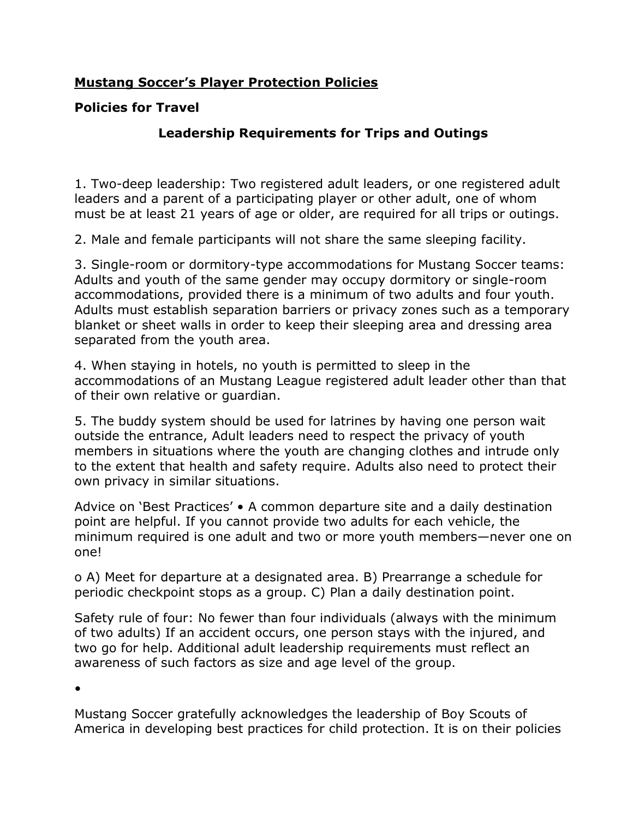## **Mustang Soccer's Player Protection Policies**

## **Policies for Travel**

## **Leadership Requirements for Trips and Outings**

1. Two-deep leadership: Two registered adult leaders, or one registered adult leaders and a parent of a participating player or other adult, one of whom must be at least 21 years of age or older, are required for all trips or outings.

2. Male and female participants will not share the same sleeping facility.

3. Single-room or dormitory-type accommodations for Mustang Soccer teams: Adults and youth of the same gender may occupy dormitory or single-room accommodations, provided there is a minimum of two adults and four youth. Adults must establish separation barriers or privacy zones such as a temporary blanket or sheet walls in order to keep their sleeping area and dressing area separated from the youth area.

4. When staying in hotels, no youth is permitted to sleep in the accommodations of an Mustang League registered adult leader other than that of their own relative or guardian.

5. The buddy system should be used for latrines by having one person wait outside the entrance, Adult leaders need to respect the privacy of youth members in situations where the youth are changing clothes and intrude only to the extent that health and safety require. Adults also need to protect their own privacy in similar situations.

Advice on 'Best Practices' • A common departure site and a daily destination point are helpful. If you cannot provide two adults for each vehicle, the minimum required is one adult and two or more youth members—never one on one!

o A) Meet for departure at a designated area. B) Prearrange a schedule for periodic checkpoint stops as a group. C) Plan a daily destination point.

Safety rule of four: No fewer than four individuals (always with the minimum of two adults) If an accident occurs, one person stays with the injured, and two go for help. Additional adult leadership requirements must reflect an awareness of such factors as size and age level of the group.

•

Mustang Soccer gratefully acknowledges the leadership of Boy Scouts of America in developing best practices for child protection. It is on their policies